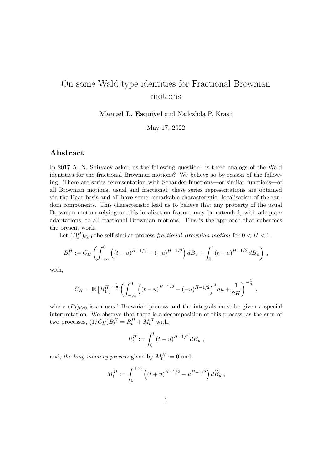## On some Wald type identities for Fractional Brownian motions

Manuel L. Esquível and Nadezhda P. Krasii

May 17, 2022

## Abstract

In 2017 A. N. Shiryaev asked us the following question: is there analogs of the Wald identities for the fractional Brownian motions? We believe so by reason of the following. There are series representation with Schauder functions—or similar functions—of all Brownian motions, usual and fractional; these series representations are obtained via the Haar basis and all have some remarkable characteristic: localisation of the random components. This characteristic lead us to believe that any property of the usual Brownian motion relying on this localisation feature may be extended, with adequate adaptations, to all fractional Brownian motions. This is the approach that subsumes the present work.

Let  $(B_t^H)_{t\geq 0}$  the self similar process fractional Brownian motion for  $0 < H < 1$ .

$$
B_t^H := C_H \left( \int_{-\infty}^0 \left( (t-u)^{H-1/2} - (-u)^{H-1/2} \right) d B_u + \int_0^t (t-u)^{H-1/2} d B_u \right) ,
$$

with,

$$
C_H = \mathbb{E}\left[B_1^H\right]^{-\frac{1}{2}} \left( \int_{-\infty}^0 \left( (t-u)^{H-1/2} - (-u)^{H-1/2} \right)^2 du + \frac{1}{2H} \right)^{-\frac{1}{2}},
$$

where  $(B_t)_{t\geq0}$  is an usual Brownian process and the integrals must be given a special interpretation. We observe that there is a decomposition of this process, as the sum of two processes,  $(1/C_H)B_t^H = R_t^H + M_t^H$  with,

$$
R_t^H := \int_0^t (t - u)^{H - 1/2} \, dB_u \,,
$$

and, the long memory process given by  $M_0^H := 0$  and,

$$
M_t^H := \int_0^{+\infty} \left( (t+u)^{H-1/2} - u^{H-1/2} \right) d\widetilde{B}_u ,
$$